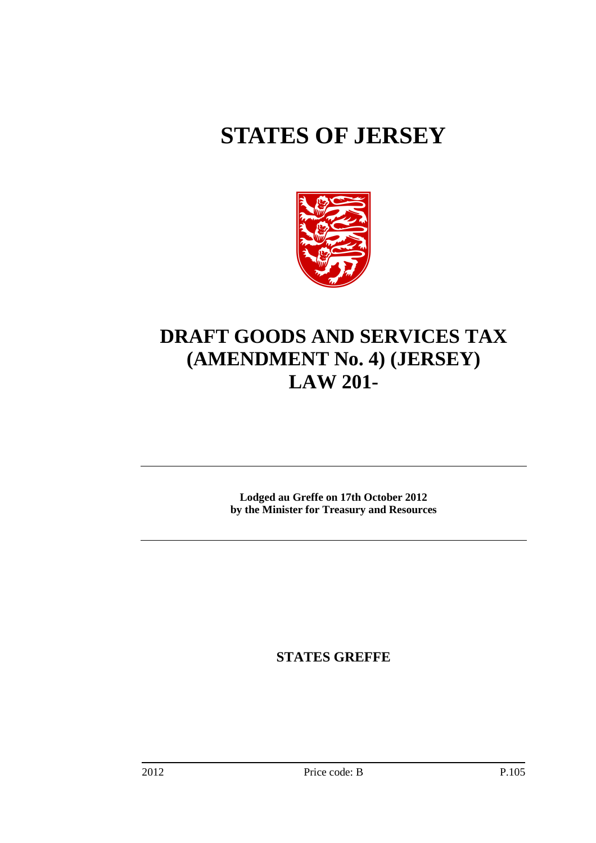# **STATES OF JERSEY**



# **DRAFT GOODS AND SERVICES TAX (AMENDMENT No. 4) (JERSEY) LAW 201-**

**Lodged au Greffe on 17th October 2012 by the Minister for Treasury and Resources** 

**STATES GREFFE**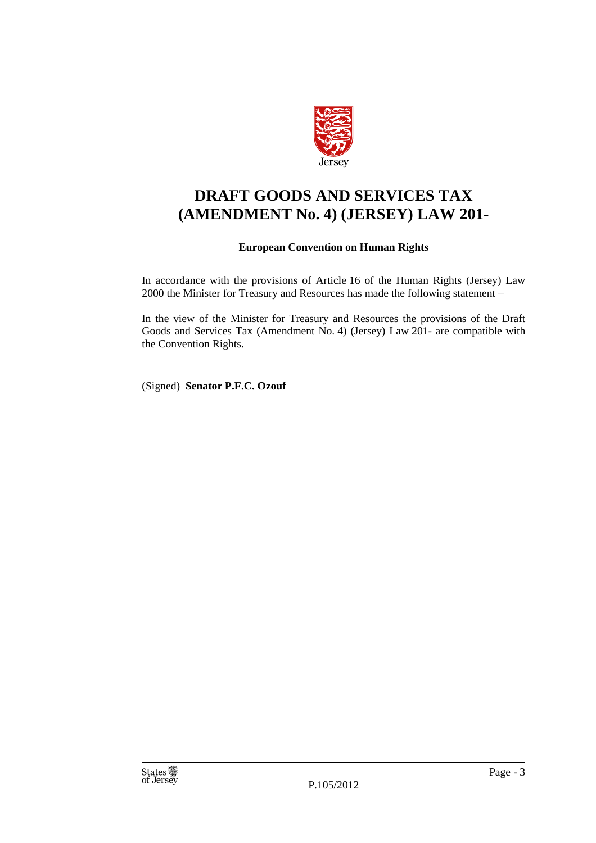

# **DRAFT GOODS AND SERVICES TAX (AMENDMENT No. 4) (JERSEY) LAW 201-**

## **European Convention on Human Rights**

In accordance with the provisions of Article 16 of the Human Rights (Jersey) Law 2000 the Minister for Treasury and Resources has made the following statement –

In the view of the Minister for Treasury and Resources the provisions of the Draft Goods and Services Tax (Amendment No. 4) (Jersey) Law 201- are compatible with the Convention Rights.

(Signed) **Senator P.F.C. Ozouf**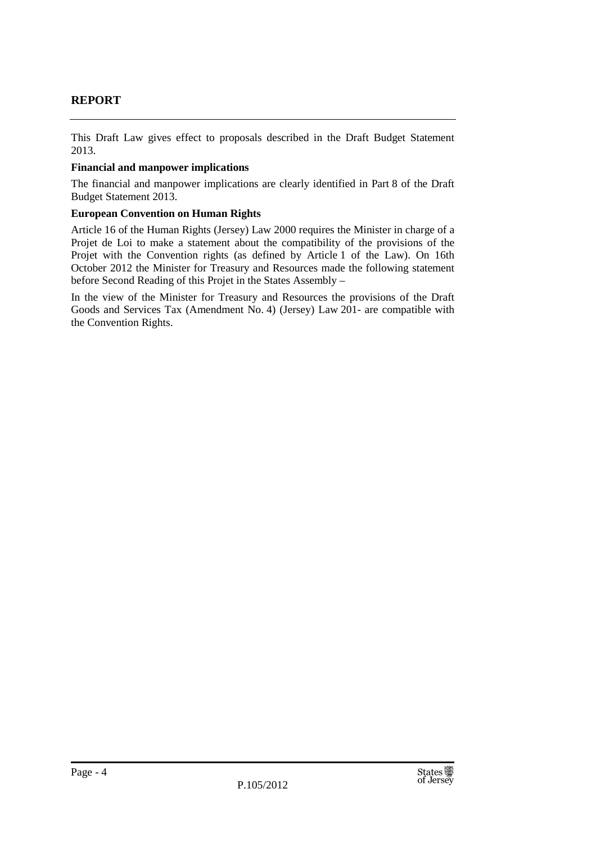# **REPORT**

This Draft Law gives effect to proposals described in the Draft Budget Statement 2013.

### **Financial and manpower implications**

The financial and manpower implications are clearly identified in Part 8 of the Draft Budget Statement 2013.

### **European Convention on Human Rights**

Article 16 of the Human Rights (Jersey) Law 2000 requires the Minister in charge of a Projet de Loi to make a statement about the compatibility of the provisions of the Projet with the Convention rights (as defined by Article 1 of the Law). On 16th October 2012 the Minister for Treasury and Resources made the following statement before Second Reading of this Projet in the States Assembly –

In the view of the Minister for Treasury and Resources the provisions of the Draft Goods and Services Tax (Amendment No. 4) (Jersey) Law 201- are compatible with the Convention Rights.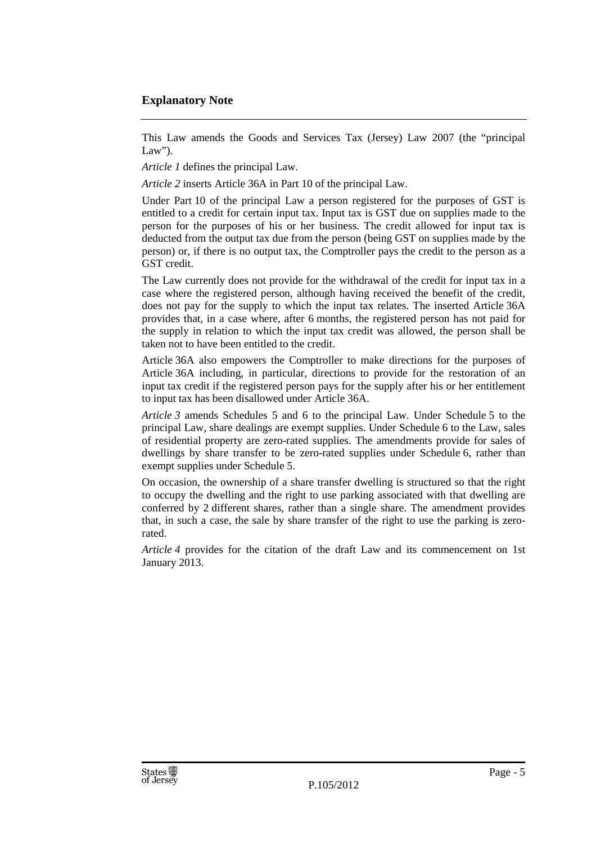## **Explanatory Note**

This Law amends the Goods and Services Tax (Jersey) Law 2007 (the "principal  $Law$ ").

*Article 1* defines the principal Law.

*Article 2* inserts Article 36A in Part 10 of the principal Law.

Under Part 10 of the principal Law a person registered for the purposes of GST is entitled to a credit for certain input tax. Input tax is GST due on supplies made to the person for the purposes of his or her business. The credit allowed for input tax is deducted from the output tax due from the person (being GST on supplies made by the person) or, if there is no output tax, the Comptroller pays the credit to the person as a GST credit.

The Law currently does not provide for the withdrawal of the credit for input tax in a case where the registered person, although having received the benefit of the credit, does not pay for the supply to which the input tax relates. The inserted Article 36A provides that, in a case where, after 6 months, the registered person has not paid for the supply in relation to which the input tax credit was allowed, the person shall be taken not to have been entitled to the credit.

Article 36A also empowers the Comptroller to make directions for the purposes of Article 36A including, in particular, directions to provide for the restoration of an input tax credit if the registered person pays for the supply after his or her entitlement to input tax has been disallowed under Article 36A.

*Article 3* amends Schedules 5 and 6 to the principal Law. Under Schedule 5 to the principal Law, share dealings are exempt supplies. Under Schedule 6 to the Law, sales of residential property are zero-rated supplies. The amendments provide for sales of dwellings by share transfer to be zero-rated supplies under Schedule 6, rather than exempt supplies under Schedule 5.

On occasion, the ownership of a share transfer dwelling is structured so that the right to occupy the dwelling and the right to use parking associated with that dwelling are conferred by 2 different shares, rather than a single share. The amendment provides that, in such a case, the sale by share transfer of the right to use the parking is zerorated.

*Article 4* provides for the citation of the draft Law and its commencement on 1st January 2013.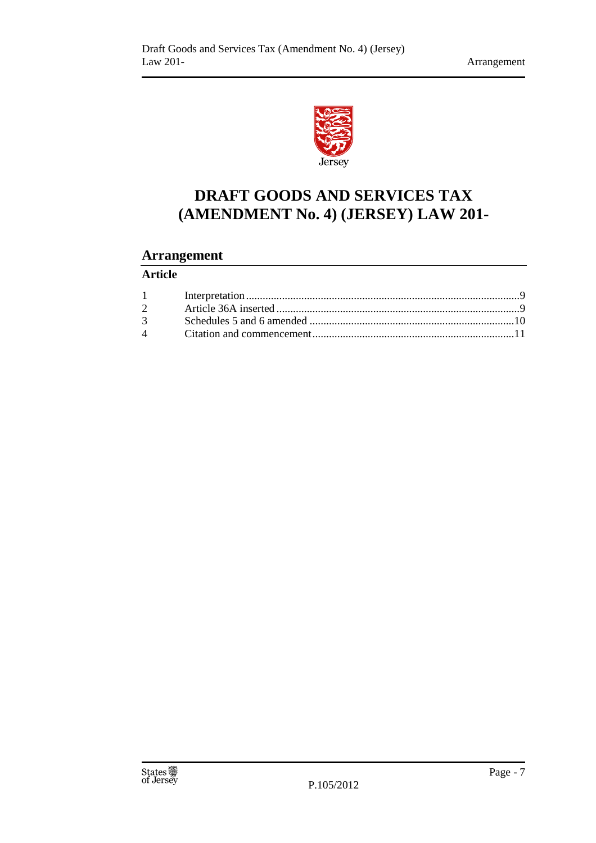

# **DRAFT GOODS AND SERVICES TAX (AMENDMENT No. 4) (JERSEY) LAW 201-**

# **Arrangement**

# **Article**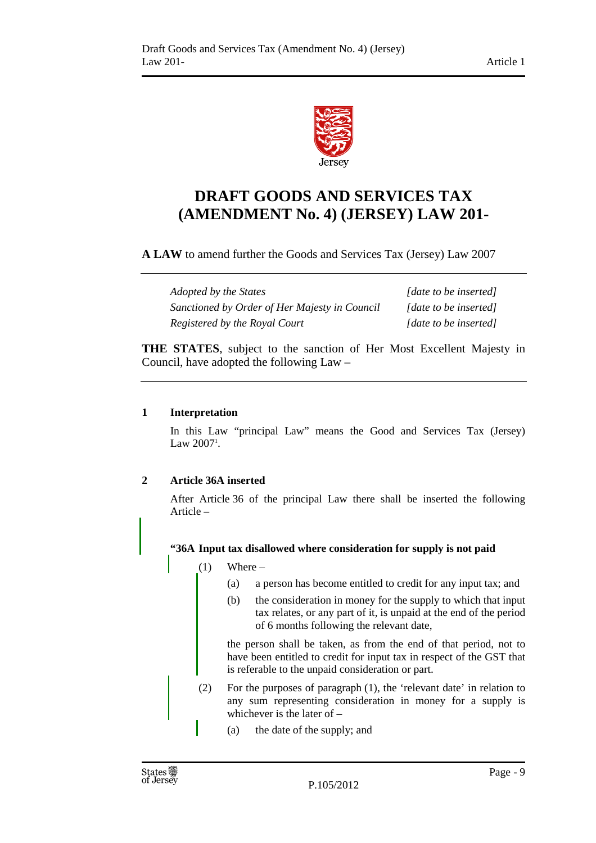

# **DRAFT GOODS AND SERVICES TAX (AMENDMENT No. 4) (JERSEY) LAW 201-**

**A LAW** to amend further the Goods and Services Tax (Jersey) Law 2007

*Adopted by the States* [*date to be inserted] Sanctioned by Order of Her Majesty in Council [date to be inserted] Registered by the Royal Court* [date to be inserted]

**THE STATES**, subject to the sanction of Her Most Excellent Majesty in Council, have adopted the following Law –

# **1 Interpretation**

In this Law "principal Law" means the Good and Services Tax (Jersey) Law  $2007^{\circ}$ .

# **2 Article 36A inserted**

After Article 36 of the principal Law there shall be inserted the following Article –

### **"36A Input tax disallowed where consideration for supply is not paid**

- $(1)$  Where
	- (a) a person has become entitled to credit for any input tax; and
	- (b) the consideration in money for the supply to which that input tax relates, or any part of it, is unpaid at the end of the period of 6 months following the relevant date,

the person shall be taken, as from the end of that period, not to have been entitled to credit for input tax in respect of the GST that is referable to the unpaid consideration or part.

- (2) For the purposes of paragraph (1), the 'relevant date' in relation to any sum representing consideration in money for a supply is whichever is the later of –
	- (a) the date of the supply; and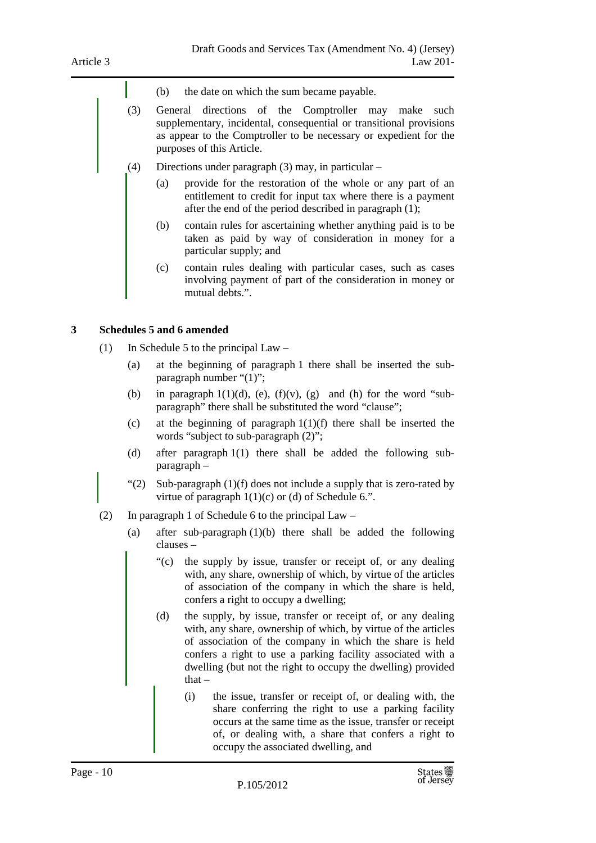- (b) the date on which the sum became payable.
- (3) General directions of the Comptroller may make such supplementary, incidental, consequential or transitional provisions as appear to the Comptroller to be necessary or expedient for the purposes of this Article.
- (4) Directions under paragraph (3) may, in particular
	- (a) provide for the restoration of the whole or any part of an entitlement to credit for input tax where there is a payment after the end of the period described in paragraph (1);
	- (b) contain rules for ascertaining whether anything paid is to be taken as paid by way of consideration in money for a particular supply; and
	- (c) contain rules dealing with particular cases, such as cases involving payment of part of the consideration in money or mutual debts.".

#### **3 Schedules 5 and 6 amended**

- (1) In Schedule 5 to the principal Law
	- (a) at the beginning of paragraph 1 there shall be inserted the subparagraph number "(1)";
	- (b) in paragraph  $1(1)(d)$ , (e),  $(f)(v)$ , (g) and (h) for the word "subparagraph" there shall be substituted the word "clause";
	- (c) at the beginning of paragraph 1(1)(f) there shall be inserted the words "subject to sub-paragraph (2)";
	- (d) after paragraph 1(1) there shall be added the following subparagraph –
	- "(2) Sub-paragraph  $(1)(f)$  does not include a supply that is zero-rated by virtue of paragraph  $1(1)(c)$  or (d) of Schedule 6.".
- (2) In paragraph 1 of Schedule 6 to the principal Law
	- (a) after sub-paragraph (1)(b) there shall be added the following clauses –
		- "(c) the supply by issue, transfer or receipt of, or any dealing with, any share, ownership of which, by virtue of the articles of association of the company in which the share is held, confers a right to occupy a dwelling;
		- (d) the supply, by issue, transfer or receipt of, or any dealing with, any share, ownership of which, by virtue of the articles of association of the company in which the share is held confers a right to use a parking facility associated with a dwelling (but not the right to occupy the dwelling) provided that –
			- (i) the issue, transfer or receipt of, or dealing with, the share conferring the right to use a parking facility occurs at the same time as the issue, transfer or receipt of, or dealing with, a share that confers a right to occupy the associated dwelling, and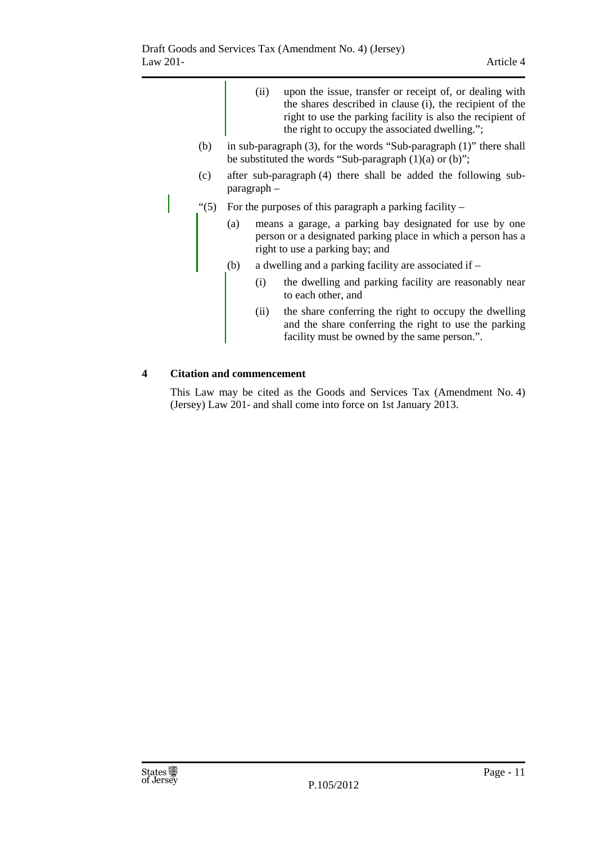- (ii) upon the issue, transfer or receipt of, or dealing with the shares described in clause (i), the recipient of the right to use the parking facility is also the recipient of the right to occupy the associated dwelling.";
- (b) in sub-paragraph (3), for the words "Sub-paragraph (1)" there shall be substituted the words "Sub-paragraph  $(1)(a)$  or  $(b)$ ";
- (c) after sub-paragraph (4) there shall be added the following subparagraph –
- "(5) For the purposes of this paragraph a parking facility  $-$ 
	- (a) means a garage, a parking bay designated for use by one person or a designated parking place in which a person has a right to use a parking bay; and
	- (b) a dwelling and a parking facility are associated if
		- (i) the dwelling and parking facility are reasonably near to each other, and
		- (ii) the share conferring the right to occupy the dwelling and the share conferring the right to use the parking facility must be owned by the same person.".

### **4 Citation and commencement**

This Law may be cited as the Goods and Services Tax (Amendment No. 4) (Jersey) Law 201- and shall come into force on 1st January 2013.